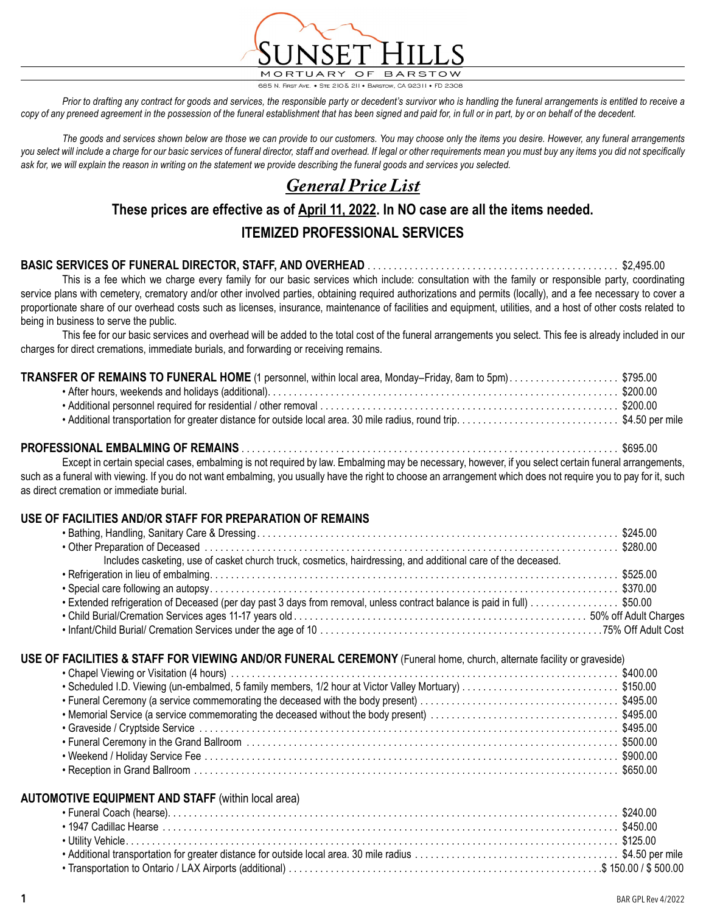

685 N. FIRST AVE. • STE 210 & 211 • BARSTOW, CA 92311 • FD 2308

Prior to drafting any contract for goods and services, the responsible party or decedent's survivor who is handling the funeral arrangements is entitled to receive a *copy of any preneed agreement in the possession of the funeral establishment that has been signed and paid for, in full or in part, by or on behalf of the decedent.*

*The goods and services shown below are those we can provide to our customers. You may choose only the items you desire. However, any funeral arrangements*  you select will include a charge for our basic services of funeral director, staff and overhead. If legal or other requirements mean you must buy any items you did not specifically *ask for, we will explain the reason in writing on the statement we provide describing the funeral goods and services you selected.*

# *General Price List*

# **These prices are effective as of April 11, 2022. In NO case are all the items needed. ITEMIZED PROFESSIONAL SERVICES**

#### **BASIC SERVICES OF FUNERAL DIRECTOR, STAFF, AND OVERHEAD** . . . . . . . . . . . . . . . . . . . . . . . . . . . . . . . . . . . . . . . . . . . . . . . . \$2,495.00

This is a fee which we charge every family for our basic services which include: consultation with the family or responsible party, coordinating service plans with cemetery, crematory and/or other involved parties, obtaining required authorizations and permits (locally), and a fee necessary to cover a proportionate share of our overhead costs such as licenses, insurance, maintenance of facilities and equipment, utilities, and a host of other costs related to being in business to serve the public.

This fee for our basic services and overhead will be added to the total cost of the funeral arrangements you select. This fee is already included in our charges for direct cremations, immediate burials, and forwarding or receiving remains.

| TRANSFER OF REMAINS TO FUNERAL HOME (1 personnel, within local area, Monday-Friday, 8am to 5pm)\$795.00 |  |
|---------------------------------------------------------------------------------------------------------|--|
|                                                                                                         |  |
|                                                                                                         |  |
|                                                                                                         |  |

#### **PROFESSIONAL EMBALMING OF REMAINS** . . . . . . . . . . . . . . . . . . . . . . . . . . . . . . . . . . . . . . . . . . . . . . . . . . . . . . . . . . . . . . . . . . . . . . . . \$695.00

Except in certain special cases, embalming is not required by law. Embalming may be necessary, however, if you select certain funeral arrangements, such as a funeral with viewing. If you do not want embalming, you usually have the right to choose an arrangement which does not require you to pay for it, such as direct cremation or immediate burial.

#### **USE OF FACILITIES AND/OR STAFF FOR PREPARATION OF REMAINS**

| Includes casketing, use of casket church truck, cosmetics, hairdressing, and additional care of the deceased.            |  |
|--------------------------------------------------------------------------------------------------------------------------|--|
|                                                                                                                          |  |
|                                                                                                                          |  |
| • Extended refrigeration of Deceased (per day past 3 days from removal, unless contract balance is paid in full) \$50.00 |  |
|                                                                                                                          |  |
|                                                                                                                          |  |
| USE OF FACILITIES & STAFF FOR VIEWING AND/OR FUNERAL CEREMONY (Funeral home, church, alternate facility or graveside)    |  |
| • Scheduled I.D. Viewing (un-embalmed, 5 family members, 1/2 hour at Victor Valley Mortuary) \$150.00                    |  |
|                                                                                                                          |  |
|                                                                                                                          |  |
|                                                                                                                          |  |
|                                                                                                                          |  |
|                                                                                                                          |  |

#### **AUTOMOTIVE EQUIPMENT AND STAFF** (within local area)

• Reception in Grand Ballroom . . . . . . . . . . . . . . . . . . . . . . . . . . . . . . . . . . . . . . . . . . . . . . . . . . . . . . . . . . . . . . . . . . . . . . . . . . . . . . . . . \$650.00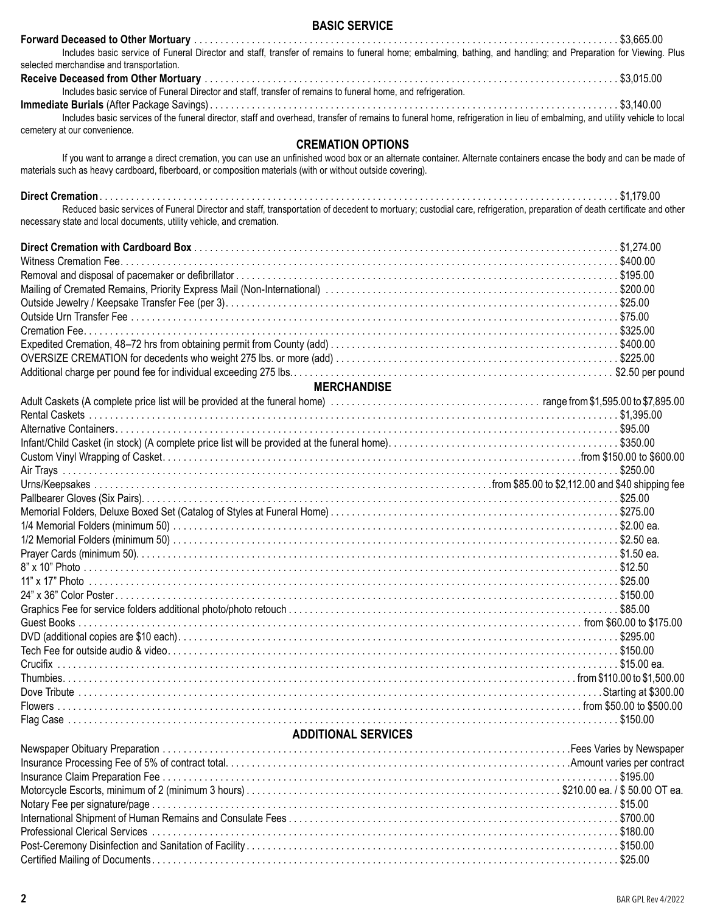#### **BASIC SERVICE**

| Includes basic service of Funeral Director and staff, transfer of remains to funeral home; embalming, bathing, and handling; and Preparation for Viewing. Plus             |  |
|----------------------------------------------------------------------------------------------------------------------------------------------------------------------------|--|
| selected merchandise and transportation.                                                                                                                                   |  |
|                                                                                                                                                                            |  |
| Includes basic service of Funeral Director and staff, transfer of remains to funeral home, and refrigeration.                                                              |  |
|                                                                                                                                                                            |  |
| Includes basic services of the funeral director, staff and overhead, transfer of remains to funeral home, refrigeration in lieu of embalming, and utility vehicle to local |  |
| cemetery at our convenience.                                                                                                                                               |  |

#### **CREMATION OPTIONS**

 If you want to arrange a direct cremation, you can use an unfinished wood box or an alternate container. Alternate containers encase the body and can be made of materials such as heavy cardboard, fiberboard, or composition materials (with or without outside covering).

| Reduced basic services of Funeral Director and staff, transportation of decedent to mortuary; custodial care, refrigeration, preparation of death certificate and other |  |
|-------------------------------------------------------------------------------------------------------------------------------------------------------------------------|--|
| necessary state and local documents, utility vehicle, and cremation.                                                                                                    |  |
|                                                                                                                                                                         |  |
|                                                                                                                                                                         |  |
|                                                                                                                                                                         |  |
|                                                                                                                                                                         |  |
|                                                                                                                                                                         |  |
|                                                                                                                                                                         |  |
|                                                                                                                                                                         |  |
|                                                                                                                                                                         |  |
|                                                                                                                                                                         |  |
|                                                                                                                                                                         |  |
| <b>MERCHANDISE</b>                                                                                                                                                      |  |
|                                                                                                                                                                         |  |
|                                                                                                                                                                         |  |
|                                                                                                                                                                         |  |
|                                                                                                                                                                         |  |
|                                                                                                                                                                         |  |
|                                                                                                                                                                         |  |
|                                                                                                                                                                         |  |
|                                                                                                                                                                         |  |
|                                                                                                                                                                         |  |
|                                                                                                                                                                         |  |
|                                                                                                                                                                         |  |
|                                                                                                                                                                         |  |
|                                                                                                                                                                         |  |
|                                                                                                                                                                         |  |
|                                                                                                                                                                         |  |
|                                                                                                                                                                         |  |
|                                                                                                                                                                         |  |
|                                                                                                                                                                         |  |
|                                                                                                                                                                         |  |
|                                                                                                                                                                         |  |
|                                                                                                                                                                         |  |
|                                                                                                                                                                         |  |
|                                                                                                                                                                         |  |
|                                                                                                                                                                         |  |

#### **ADDITIONAL SERVICES**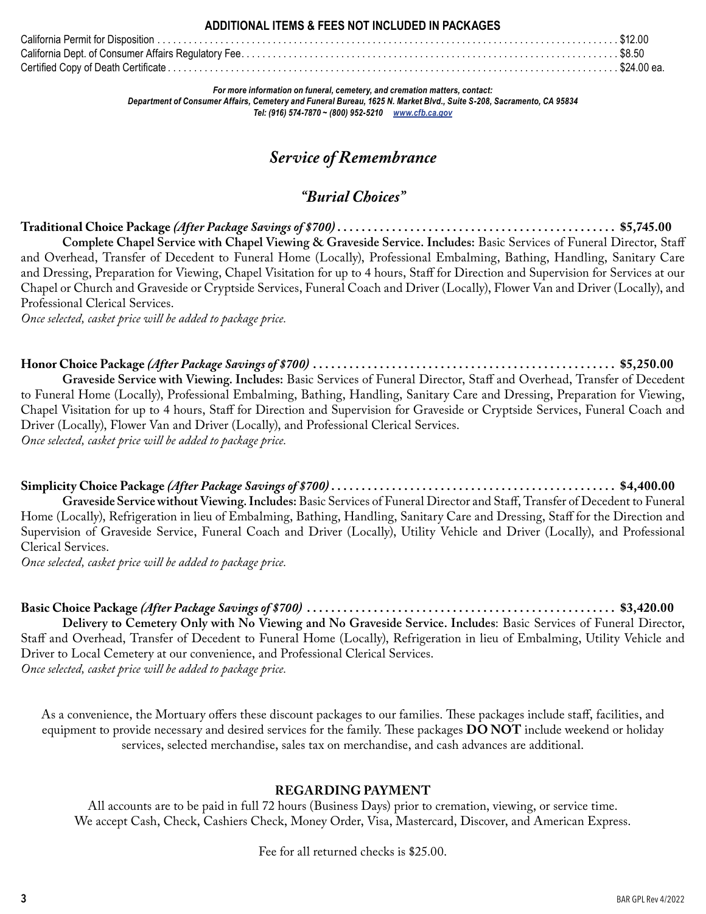#### **ADDITIONAL ITEMS & FEES NOT INCLUDED IN PACKAGES**

| California Dept. of Consumer Affairs Regulatory Fee…………………………………………………………………………… \$8.50 |  |
|-----------------------------------------------------------------------------------------|--|
|                                                                                         |  |

*For more information on funeral, cemetery, and cremation matters, contact: Department of Consumer Affairs, Cemetery and Funeral Bureau, 1625 N. Market Blvd., Suite S-208, Sacramento, CA 95834 Tel: (916) 574-7870 ~ (800) 952-5210 www.cfb.ca.gov*

# *Service of Remembrance*

## *"Burial Choices"*

**Traditional Choice Package** *(After Package Savings of \$700)* **. . . . . . . . . . . . . . . . . . . . . . . . . . . . . . . . . . . . . . . . . . . . . . \$5,745.00 Complete Chapel Service with Chapel Viewing & Graveside Service. Includes:** Basic Services of Funeral Director, Staff and Overhead, Transfer of Decedent to Funeral Home (Locally), Professional Embalming, Bathing, Handling, Sanitary Care and Dressing, Preparation for Viewing, Chapel Visitation for up to 4 hours, Staff for Direction and Supervision for Services at our Chapel or Church and Graveside or Cryptside Services, Funeral Coach and Driver (Locally), Flower Van and Driver (Locally), and Professional Clerical Services.

*Once selected, casket price will be added to package price.*

**Honor Choice Package** *(After Package Savings of \$700)* **. . . . . . . . . . . . . . . . . . . . . . . . . . . . . . . . . . . . . . . . . . . . . . . . . . \$5,250.00**

**Graveside Service with Viewing. Includes:** Basic Services of Funeral Director, Staff and Overhead, Transfer of Decedent to Funeral Home (Locally), Professional Embalming, Bathing, Handling, Sanitary Care and Dressing, Preparation for Viewing, Chapel Visitation for up to 4 hours, Staff for Direction and Supervision for Graveside or Cryptside Services, Funeral Coach and Driver (Locally), Flower Van and Driver (Locally), and Professional Clerical Services. *Once selected, casket price will be added to package price.*

**Simplicity Choice Package** *(After Package Savings of \$700)* **. . . . . . . . . . . . . . . . . . . . . . . . . . . . . . . . . . . . . . . . . . . . . . . \$4,400.00 Graveside Service without Viewing. Includes:** Basic Services of Funeral Director and Staff, Transfer of Decedent to Funeral Home (Locally), Refrigeration in lieu of Embalming, Bathing, Handling, Sanitary Care and Dressing, Staff for the Direction and Supervision of Graveside Service, Funeral Coach and Driver (Locally), Utility Vehicle and Driver (Locally), and Professional Clerical Services.

*Once selected, casket price will be added to package price.*

**Basic Choice Package** *(After Package Savings of \$700)* **. . . . . . . . . . . . . . . . . . . . . . . . . . . . . . . . . . . . . . . . . . . . . . . . . . . \$3,420.00 Delivery to Cemetery Only with No Viewing and No Graveside Service. Includes**: Basic Services of Funeral Director, Staff and Overhead, Transfer of Decedent to Funeral Home (Locally), Refrigeration in lieu of Embalming, Utility Vehicle and Driver to Local Cemetery at our convenience, and Professional Clerical Services. *Once selected, casket price will be added to package price.*

As a convenience, the Mortuary offers these discount packages to our families. These packages include staff, facilities, and equipment to provide necessary and desired services for the family. These packages **DO NOT** include weekend or holiday services, selected merchandise, sales tax on merchandise, and cash advances are additional.

### **REGARDING PAYMENT**

All accounts are to be paid in full 72 hours (Business Days) prior to cremation, viewing, or service time. We accept Cash, Check, Cashiers Check, Money Order, Visa, Mastercard, Discover, and American Express.

Fee for all returned checks is \$25.00.